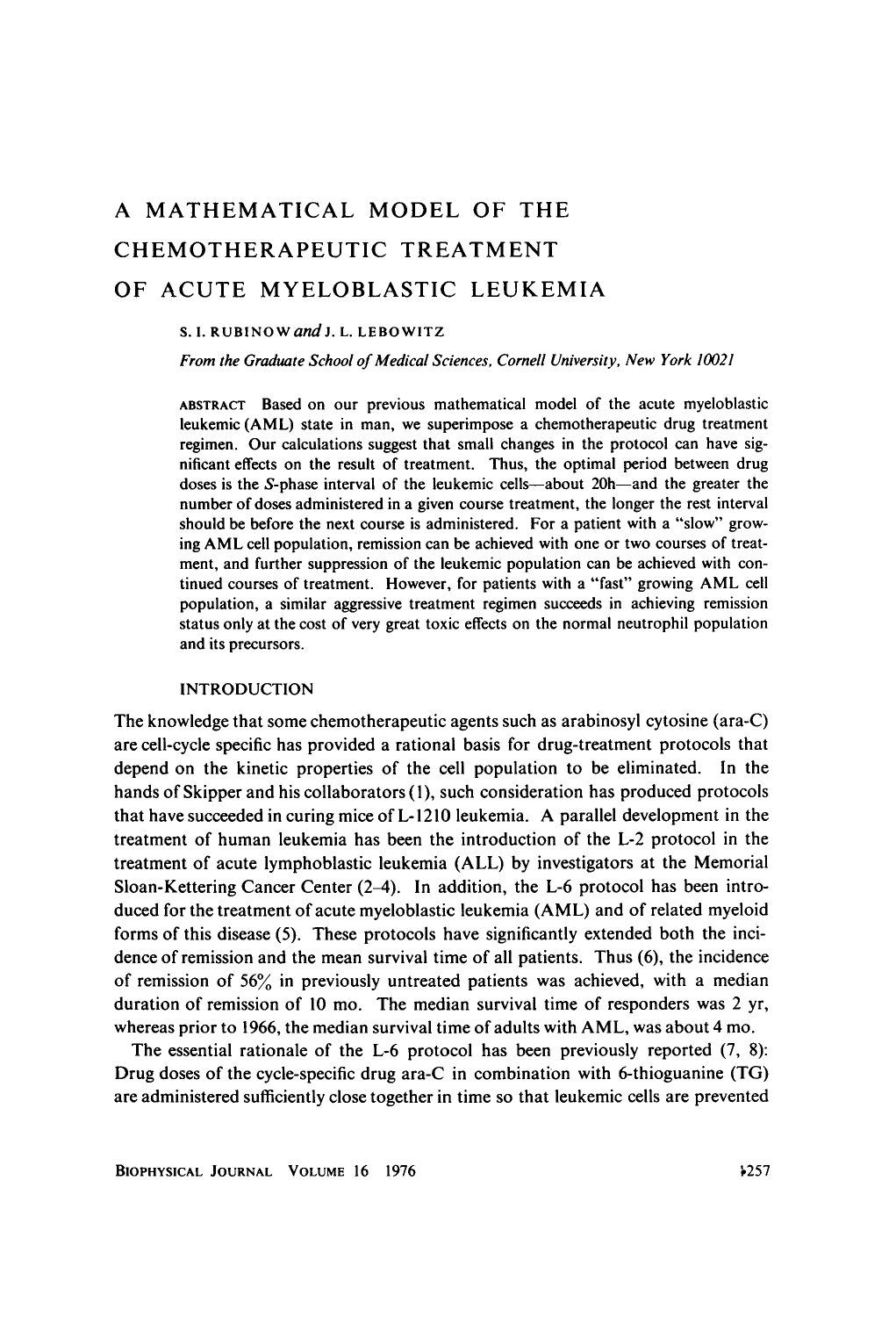# A MATHEMATICAL MODEL OF THE CHEMOTHERAPEUTIC TREATMENT OF ACUTE MYELOBLASTIC LEUKEMIA

# S. I. RUBINOW and J. L. LEBOWITZ

#### From the Graduate School of Medical Sciences, Cornell University, New York 10021

ABSTRACT Based on our previous mathematical model of the acute myeloblastic leukemic (AML) state in man, we superimpose a chemotherapeutic drug treatment regimen. Our calculations suggest that small changes in the protocol can have significant effects on the result of treatment. Thus, the optimal period between drug doses is the S-phase interval of the leukemic cells—about 20h—and the greater the number of doses administered in a given course treatment, the longer the rest interval should be before the next course is administered. For a patient with a "slow" growing AML cell population, remission can be achieved with one or two courses of treatment, and further suppression of the leukemic population can be achieved with continued courses of treatment. However, for patients with <sup>a</sup> "fast" growing AML cell population, a similar aggressive treatment regimen succeeds in achieving remission status only at the cost of very great toxic effects on the normal neutrophil population and its precursors.

## INTRODUCTION

The knowledge that some chemotherapeutic agents such as arabinosyl cytosine (ara-C) are cell-cycle specific has provided a rational basis for drug-treatment protocols that depend on the kinetic properties of the cell population to be eliminated. In the hands of Skipper and his collaborators (1), such consideration has produced protocols that have succeeded in curing mice of L-1210 leukemia. A parallel development in the treatment of human leukemia has been the introduction of the L-2 protocol in the treatment of acute lymphoblastic leukemia (ALL) by investigators at the Memorial Sloan-Kettering Cancer Center (2-4). In addition, the L-6 protocol has been introduced for the treatment of acute myeloblastic leukemia (AML) and of related myeloid forms of this disease (5). These protocols have significantly extended both the incidence of remission and the mean survival time of all patients. Thus (6), the incidence of remission of 56% in previously untreated patients was achieved, with <sup>a</sup> median duration of remission of 10 mo. The median survival time of responders was 2 yr, whereas prior to 1966, the median survival time of adults with AML, was about 4 mo.

The essential rationale of the L-6 protocol has been previously reported (7, 8): Drug doses of the cycle-specific drug ara-C in combination with 6-thioguanine (TG) are administered sufficiently close together in time so that leukemic cells are prevented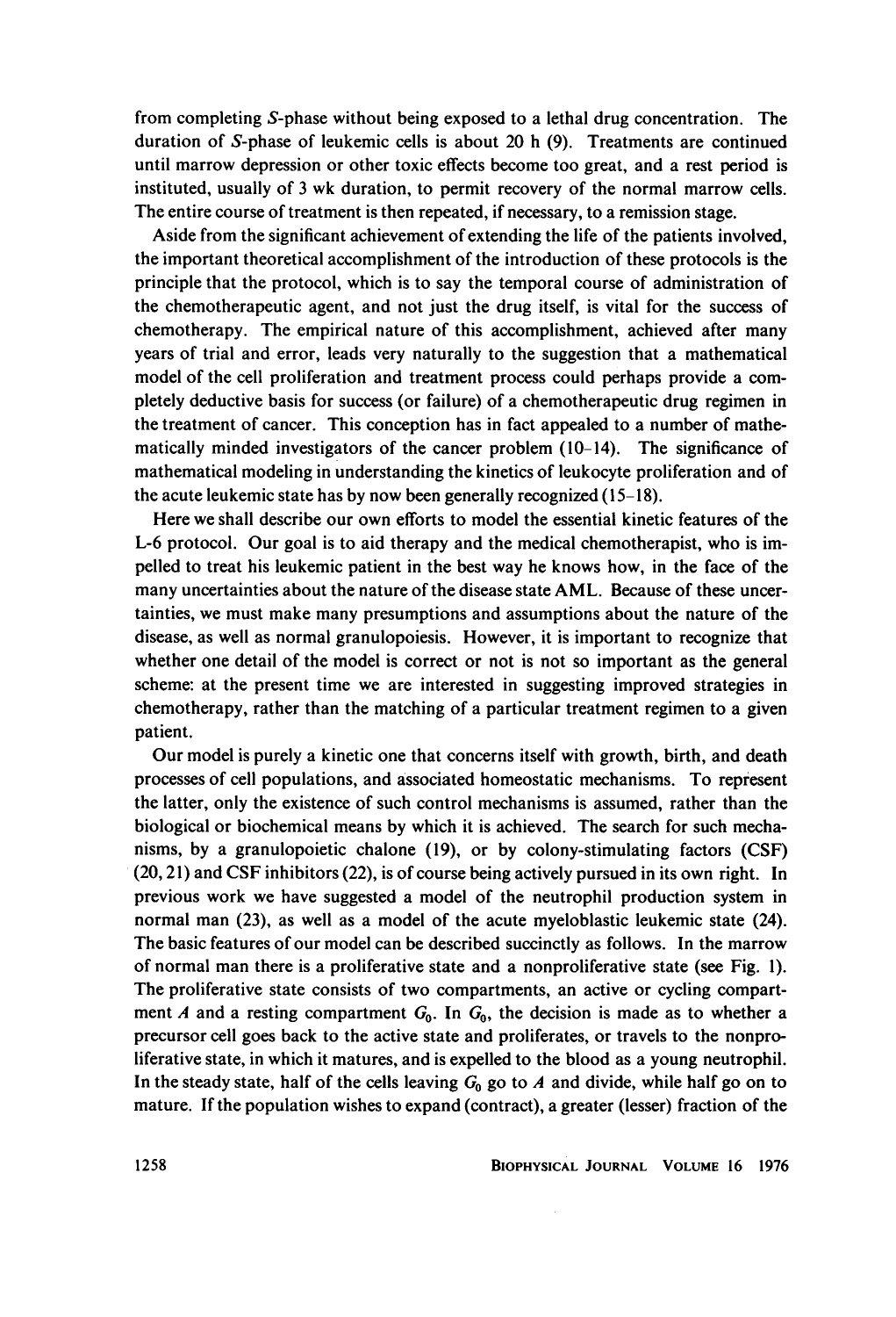from completing S-phase without being exposed to a lethal drug concentration. The duration of S-phase of leukemic cells is about 20 h (9). Treatments are continued until marrow depression or other toxic effects become too great, and a rest period is instituted, usually of <sup>3</sup> wk duration, to permit recovery of the normal marrow cells. The entire course of treatment is then repeated, if necessary, to a remission stage.

Aside from the significant achievement of extending the life of the patients involved, the important theoretical accomplishment of the introduction of these protocols is the principle that the protocol, which is to say the temporal course of administration of the chemotherapeutic agent, and not just the drug itself, is vital for the success of chemotherapy. The empirical nature of this accomplishment, achieved after many years of trial and error, leads very naturally to the suggestion that a mathematical model of the cell proliferation and treatment process could perhaps provide a completely deductive basis for success (or failure) of a chemotherapeutic drug regimen in the treatment of cancer. This conception has in fact appealed to a number of mathematically minded investigators of the cancer problem (10-14). The significance of mathematical modeling in understanding the kinetics of leukocyte proliferation and of the acute leukemic state has by now been generally recognized (15-18).

Here we shall describe our own efforts to model the essential kinetic features of the L-6 protocol. Our goal is to aid therapy and the medical chemotherapist, who is impelled to treat his leukemic patient in the best way he knows how, in the face of the many uncertainties about the nature of the disease state AML. Because of these uncertainties, we must make many presumptions and assumptions about the nature of the disease, as well as normal granulopoiesis. However, it is important to recognize that whether one detail of the model is correct or not is not so important as the general scheme: at the present time we are interested in suggesting improved strategies in chemotherapy, rather than the matching of a particular treatment regimen to a given patient.

Our model is purely a kinetic one that concerns itself with growth, birth, and death processes of cell populations, and associated homeostatic mechanisms. To represent the latter, only the existence of such control mechanisms is assumed, rather than the biological or biochemical means by which it is achieved. The search for such mechanisms, by a granulopoietic chalone (19), or by colony-stimulating factors (CSF) (20, 21) and CSF inhibitors (22), is of course being actively pursued in its own right. In previous work we have suggested a model of the neutrophil production system in normal man (23), as well as a model of the acute myeloblastic leukemic state (24). The basic features of our model can be described succinctly as follows. In the marrow of normal man there is a proliferative state and a nonproliferative state (see Fig. 1). The proliferative state consists of two compartments, an active or cycling compartment A and a resting compartment  $G_0$ . In  $G_0$ , the decision is made as to whether a precursor cell goes back to the active state and proliferates, or travels to the nonproliferative state, in which it matures, and is expelled to the blood as a young neutrophil. In the steady state, half of the cells leaving  $G_0$  go to A and divide, while half go on to mature. If the population wishes to expand (contract), a greater (lesser) fraction of the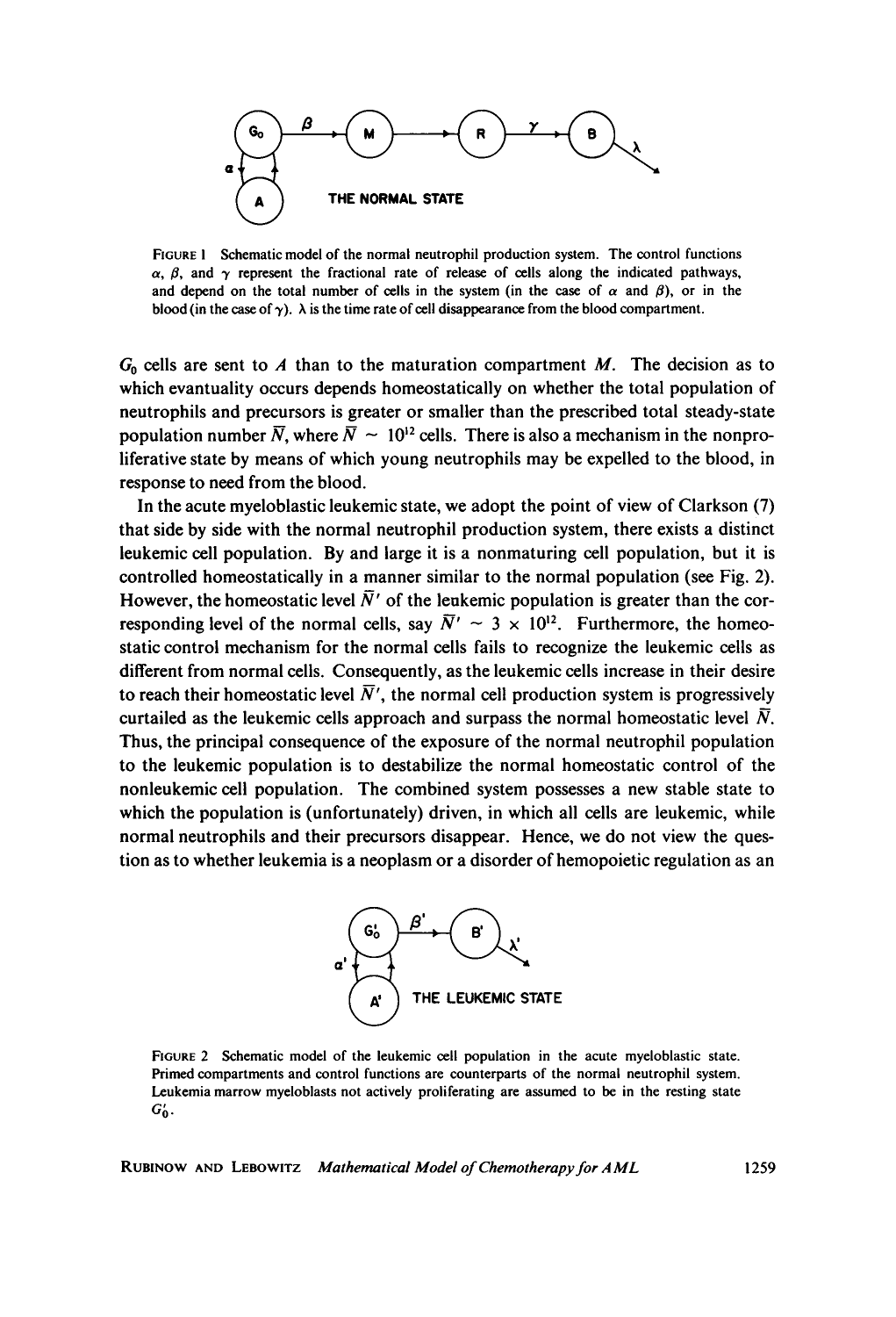

FIGURE <sup>I</sup> Schematic model of the normal neutrophil production system. The control functions  $\alpha$ ,  $\beta$ , and  $\gamma$  represent the fractional rate of release of cells along the indicated pathways, and depend on the total number of cells in the system (in the case of  $\alpha$  and  $\beta$ ), or in the blood (in the case of  $\gamma$ ).  $\lambda$  is the time rate of cell disappearance from the blood compartment.

 $G_0$  cells are sent to A than to the maturation compartment M. The decision as to which evantuality occurs depends homeostatically on whether the total population of neutrophils and precursors is greater or smaller than the prescribed total steady-state population number  $\overline{N}$ , where  $\overline{N} \sim 10^{12}$  cells. There is also a mechanism in the nonproliferative state by means of which young neutrophils may be expelled to the blood, in response to need from the blood.

In the acute myeloblastic leukemic state, we adopt the point of view of Clarkson (7) that side by side with the normal neutrophil production system, there exists a distinct leukemic cell population. By and large it is a nonmaturing cell population, but it is controlled homeostatically in a manner similar to the normal population (see Fig. 2). However, the homeostatic level  $\bar{N}'$  of the leukemic population is greater than the corresponding level of the normal cells, say  $\overline{N}$  ~ 3 × 10<sup>12</sup>. Furthermore, the homeostatic control mechanism for the normal cells fails to recognize the leukemic cells as different from normal cells. Consequently, as the leukemic cells increase in their desire to reach their homeostatic level  $\bar{N}'$ , the normal cell production system is progressively curtailed as the leukemic cells approach and surpass the normal homeostatic level  $\overline{N}$ . Thus, the principal consequence of the exposure of the normal neutrophil population to the leukemic population is to destabilize the normal homeostatic control of the nonleukemic cell population. The combined system possesses a new stable state to which the population is (unfortunately) driven, in which all cells are leukemic, while normal neutrophils and their precursors disappear. Hence, we do not view the question as to whether leukemia is a neoplasm or a disorder of hemopoietic regulation as an



FIGURE 2 Schematic model of the leukemic cell population in the acute myeloblastic state. Primed compartments and control functions are counterparts of the normal neutrophil system. Leukemia marrow myeloblasts not actively proliferating are assumed to be in the resting state  $G'_{0}$ .

RUBINOW AND LEBOWITZ Mathematical Model of Chemotherapy for AML 1259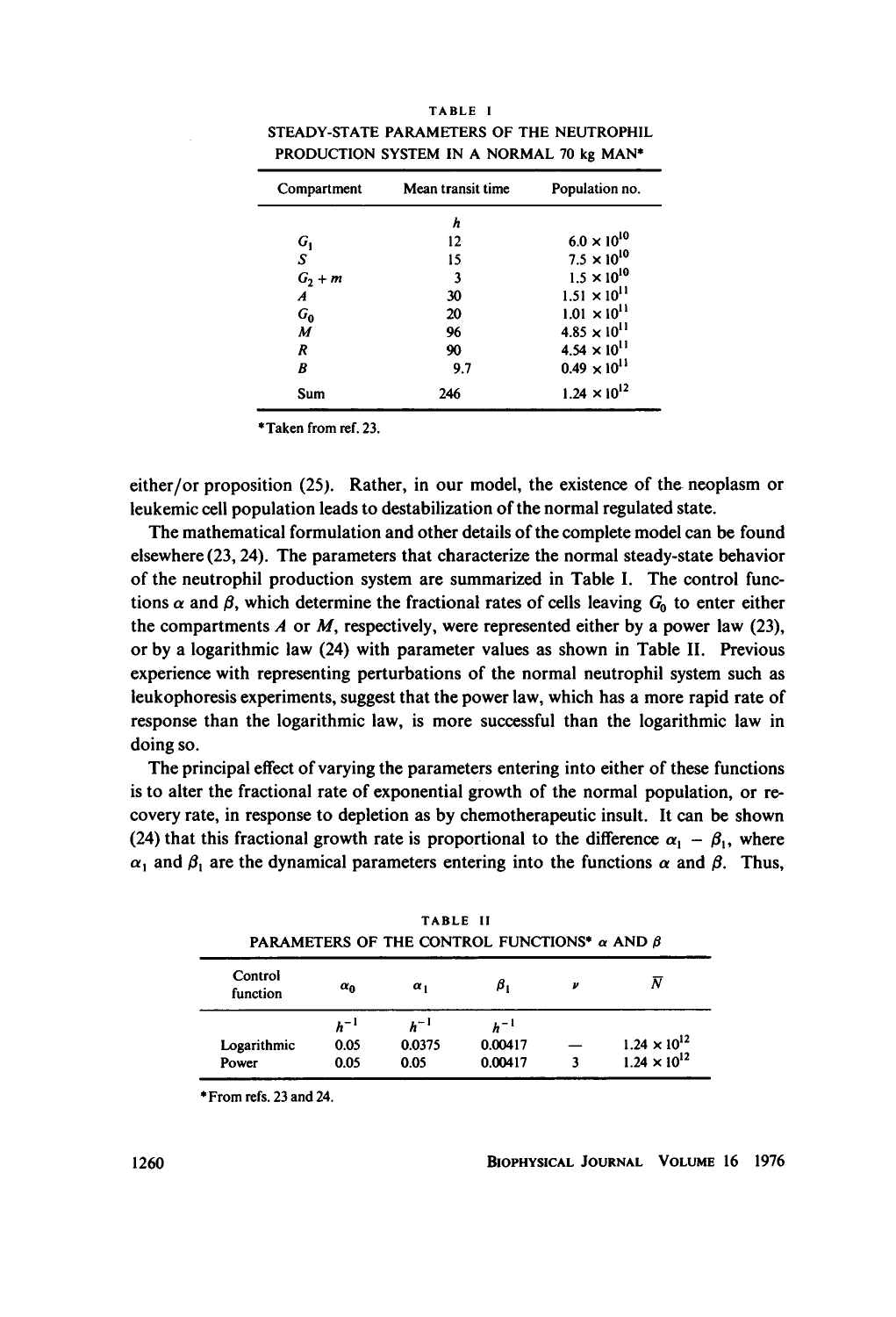| Compartment      | Mean transit time | Population no.        |  |
|------------------|-------------------|-----------------------|--|
|                  | h                 |                       |  |
|                  | 12                | $6.0 \times 10^{10}$  |  |
| $\frac{G_1}{S}$  | 15                | $7.5 \times 10^{10}$  |  |
| $G_2 + m$        | 3                 | $1.5 \times 10^{10}$  |  |
| $\boldsymbol{A}$ | 30                | $1.51 \times 10^{11}$ |  |
| $G_0$            | 20                | $1.01 \times 10^{11}$ |  |
| $\boldsymbol{M}$ | 96                | $4.85 \times 10^{11}$ |  |
| R                | 90                | $4.54 \times 10^{11}$ |  |
| B                | 9.7               | $0.49 \times 10^{11}$ |  |
| Sum              | 246               | $1.24 \times 10^{12}$ |  |

| TABLE I                                   |  |
|-------------------------------------------|--|
| STEADY-STATE PARAMETERS OF THE NEUTROPHIL |  |
| PRODUCTION SYSTEM IN A NORMAL 70 kg MAN*  |  |

\*Taken from ref. 23.

either/or proposition (25). Rather, in our model, the existence of the. neoplasm or leukemic cell population leads to destabilization of the normal regulated state.

The mathematical formulation and other details of the complete model can be found elsewhere (23, 24). The parameters that characterize the normal steady-state behavior of the neutrophil production system are summarized in Table I. The control functions  $\alpha$  and  $\beta$ , which determine the fractional rates of cells leaving  $G_0$  to enter either the compartments  $A$  or  $M$ , respectively, were represented either by a power law (23), or by a logarithmic law (24) with parameter values as shown in Table II. Previous experience with representing perturbations of the normal neutrophil system such as leukophoresis experiments, suggest that the power law, which has a more rapid rate of response than the logarithmic law, is more successful than the logarithmic law in doing so.

The principal effect of varying the parameters entering into either of these functions is to alter the fractional rate of exponential growth of the normal population, or recovery rate, in response to depletion as by chemotherapeutic insult. It can be shown (24) that this fractional growth rate is proportional to the difference  $\alpha_1 - \beta_1$ , where  $\alpha_1$  and  $\beta_1$  are the dynamical parameters entering into the functions  $\alpha$  and  $\beta$ . Thus,

| .<br>PARAMETERS OF THE CONTROL FUNCTIONS* $\alpha$ AND $\beta$ |            |            |          |   |                       |
|----------------------------------------------------------------|------------|------------|----------|---|-----------------------|
| Control<br>function                                            | $\alpha_0$ | $\alpha_1$ | β,       | v | Ñ                     |
|                                                                | $h^{-1}$   | $h^{-1}$   | $h^{-1}$ |   |                       |
| Logarithmic                                                    | 0.05       | 0.0375     | 0.00417  |   | $1.24 \times 10^{12}$ |
| Power                                                          | 0.05       | 0.05       | 0.00417  | ٦ | $1.24 \times 10^{12}$ |

| PARAMETERS OF THE CONTROL FUNCTIONS* $\alpha$ AND $\beta$ |  |
|-----------------------------------------------------------|--|

\* From refs. 23 and 24.

1260 BIOPHYSICAL JOURNAL VOLUME <sup>16</sup> 1976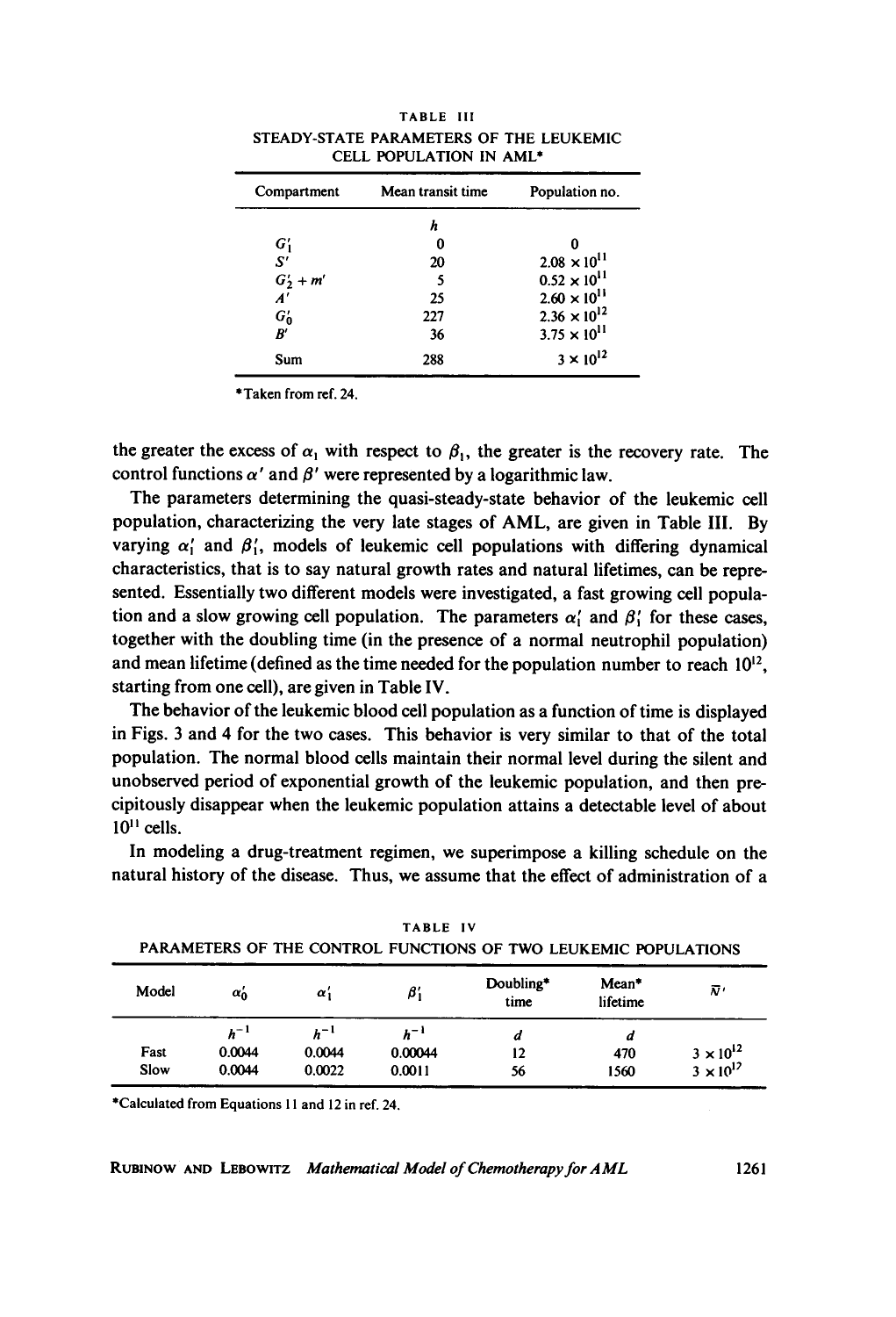| Compartment       | Mean transit time | Population no.        |  |
|-------------------|-------------------|-----------------------|--|
|                   | h                 |                       |  |
|                   | 0                 | 0                     |  |
| $G'_1$<br>$S'$    | 20                | $2.08 \times 10^{11}$ |  |
|                   | 5                 | $0.52 \times 10^{11}$ |  |
| $G'_2 + m'$<br>A' | 25                | $2.60 \times 10^{11}$ |  |
| $G'_{\bf 0}$      | 227               | $2.36 \times 10^{12}$ |  |
| R'                | 36                | $3.75 \times 10^{11}$ |  |
| Sum               | 288               | $3 \times 10^{12}$    |  |

TABLE III STEADY-STATE PARAMETERS OF THE LEUKEMIC CELL POPULATION IN AML\*

\*Taken from ref. 24.

the greater the excess of  $\alpha_1$  with respect to  $\beta_1$ , the greater is the recovery rate. The control functions  $\alpha'$  and  $\beta'$  were represented by a logarithmic law.

The parameters determining the quasi-steady-state behavior of the leukemic cell population, characterizing the very late stages of AML, are given in Table III. By varying  $\alpha'_1$  and  $\beta'_1$ , models of leukemic cell populations with differing dynamical characteristics, that is to say natural growth rates and natural lifetimes, can be represented. Essentially two different models were investigated, a fast growing cell population and a slow growing cell population. The parameters  $\alpha'$  and  $\beta'$  for these cases, together with the doubling time (in the presence of a normal neutrophil population) and mean lifetime (defined as the time needed for the population number to reach  $10^{12}$ , starting from one cell), are given in Table IV.

The behavior of the leukemic blood cell population as a function of time is displayed in Figs. 3 and 4 for the two cases. This behavior is very similar to that of the total population. The normal blood cells maintain their normal level during the silent and unobserved period of exponential growth of the leukemic population, and then precipitously disappear when the leukemic population attains a detectable level of about  $10^{11}$  cells.

In modeling a drug-treatment regimen, we superimpose a killing schedule on the natural history of the disease. Thus, we assume that the effect of administration of a

| Model | $\alpha_0$ | αʻ       | βí       | Doubling*<br>time | Mean*<br>lifetime | $\bar{N}$ '        |
|-------|------------|----------|----------|-------------------|-------------------|--------------------|
|       | $h^{-1}$   | $h^{-1}$ | $h^{-1}$ | d                 | d                 |                    |
| Fast  | 0.0044     | 0.0044   | 0.00044  | 12                | 470               | $3 \times 10^{12}$ |
| Slow  | 0.0044     | 0.0022   | 0.0011   | 56                | 1560              | $3 \times 10^{12}$ |

TABLE IV PARAMETERS OF THE CONTROL FUNCTIONS OF TWO LEUKEMIC POPULATIONS

\*Calculated from Equations <sup>11</sup> and 12 in ref. 24.

RUBINOW AND LEBOWITZ Mathematical Model of Chemotherapy for AML 1261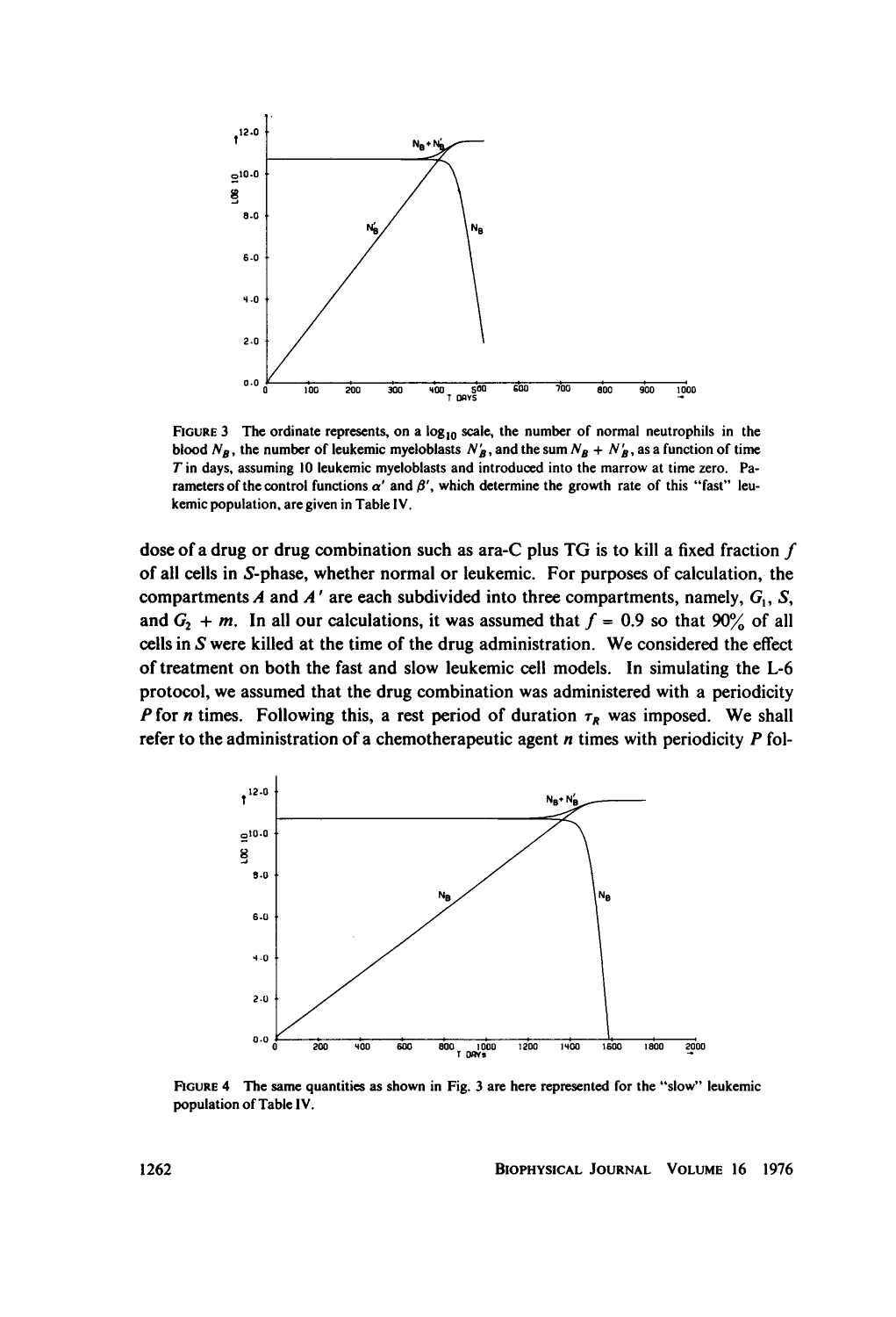

FIGURE 3 The ordinate represents, on a  $log_{10}$  scale, the number of normal neutrophils in the blood  $N_B$ , the number of leukemic myeloblasts  $N_B$ , and the sum  $N_B + N_B'$ , as a function of time T in days, assuming <sup>10</sup> leukemic myeloblasts and introduced into the marrow at time zero. Parameters of the control functions  $\alpha'$  and  $\beta'$ , which determine the growth rate of this "fast" leukemic population, are given in Table IV.

dose of a drug or drug combination such as ara-C plus TG is to kill a fixed fraction  $f$ of all cells in S-phase, whether normal or leukemic. For purposes of calculation, the compartments A and A' are each subdivided into three compartments, namely,  $G_1$ , S, and  $G_2 + m$ . In all our calculations, it was assumed that  $f = 0.9$  so that  $90\%$  of all cells in  $S$  were killed at the time of the drug administration. We considered the effect of treatment on both the fast and slow leukemic cell models. In simulating the L-6 protocol, we assumed that the drug combination was administered with a periodicity P for n times. Following this, a rest period of duration  $\tau_R$  was imposed. We shall refer to the administration of a chemotherapeutic agent  $n$  times with periodicity  $P$  fol-



FIGURE 4 The same quantities as shown in Fig. 3 are here represented for the "slow" leukemic population of Table IV.

1262 BIOPHYSICAL JOURNAL VOLUME 16 1976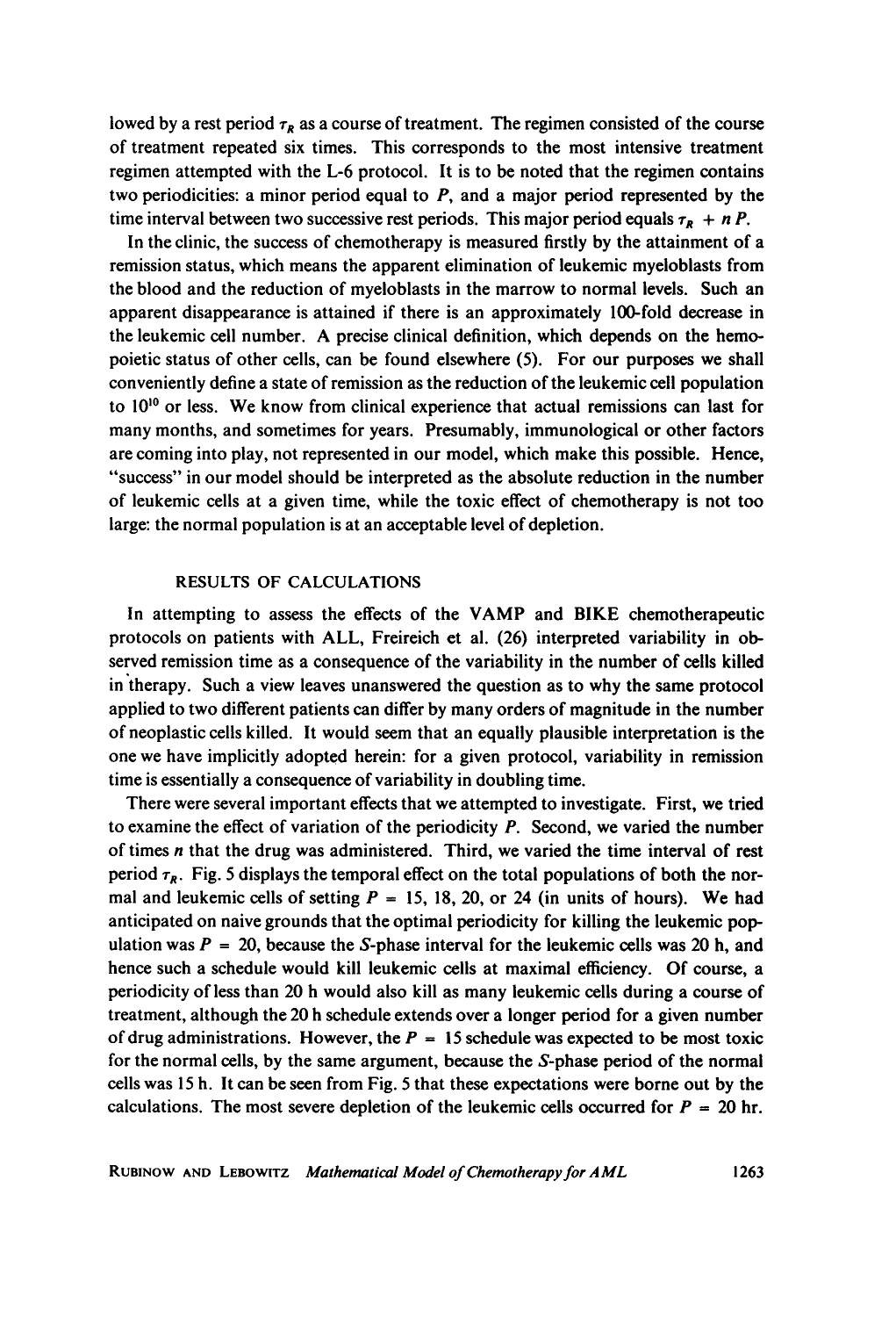lowed by a rest period  $\tau_R$  as a course of treatment. The regimen consisted of the course of treatment repeated six times. This corresponds to the most intensive treatment regimen attempted with the L-6 protocol. It is to be noted that the regimen contains two periodicities: <sup>a</sup> minor period equal to P, and <sup>a</sup> major period represented by the time interval between two successive rest periods. This major period equals  $\tau_R + n P$ .

In the clinic, the success of chemotherapy is measured firstly by the attainment of a remission status, which means the apparent elimination of leukemic myeloblasts from the blood and the reduction of myeloblasts in the marrow to normal levels. Such an apparent disappearance is attained if there is an approximately 100-fold decrease in the leukemic cell number. A precise clinical definition, which depends on the hemopoietic status of other cells, can be found elsewhere (5). For our purposes we shall conveniently define a state of remission as the reduction of the leukemic cell population to <sup>1010</sup> or less. We know from clinical experience that actual remissions can last for many months, and sometimes for years. Presumably, immunological or other factors are coming into play, not represented in our model, which make this possible. Hence, "success" in our model should be interpreted as the absolute reduction in the number of leukemic cells at a given time, while the toxic effect of chemotherapy is not too large: the normal population is at an acceptable level of depletion.

# RESULTS OF CALCULATIONS

In attempting to assess the effects of the VAMP and BIKE chemotherapeutic protocols on patients with ALL, Freireich et al. (26) interpreted variability in observed remission time as a consequence of the variability in the number of cells killed in therapy. Such a view leaves unanswered the question as to why the same protocol applied to two different patients can differ by many orders of magnitude in the number of neoplastic cells killed. It would seem that an equally plausible interpretation is the one we have implicitly adopted herein: for a given protocol, variability in remission time is essentially a consequence of variability in doubling time.

There were several important effects that we attempted to investigate. First, we tried to examine the effect of variation of the periodicity  $P$ . Second, we varied the number of times  $n$  that the drug was administered. Third, we varied the time interval of rest period  $\tau_R$ . Fig. 5 displays the temporal effect on the total populations of both the normal and leukemic cells of setting  $P = 15$ , 18, 20, or 24 (in units of hours). We had anticipated on naive grounds that the optimal periodicity for killing the leukemic population was  $P = 20$ , because the S-phase interval for the leukemic cells was 20 h, and hence such a schedule would kill leukemic cells at maximal efficiency. Of course, a periodicity of less than 20 h would also kill as many leukemic cells during a course of treatment, although the 20 h schedule extends over a longer period for a given number of drug administrations. However, the  $P = 15$  schedule was expected to be most toxic for the normal cells, by the same argument, because the S-phase period of the normal cells was 15 h. It can be seen from Fig. 5 that these expectations were borne out by the calculations. The most severe depletion of the leukemic cells occurred for  $P = 20$  hr.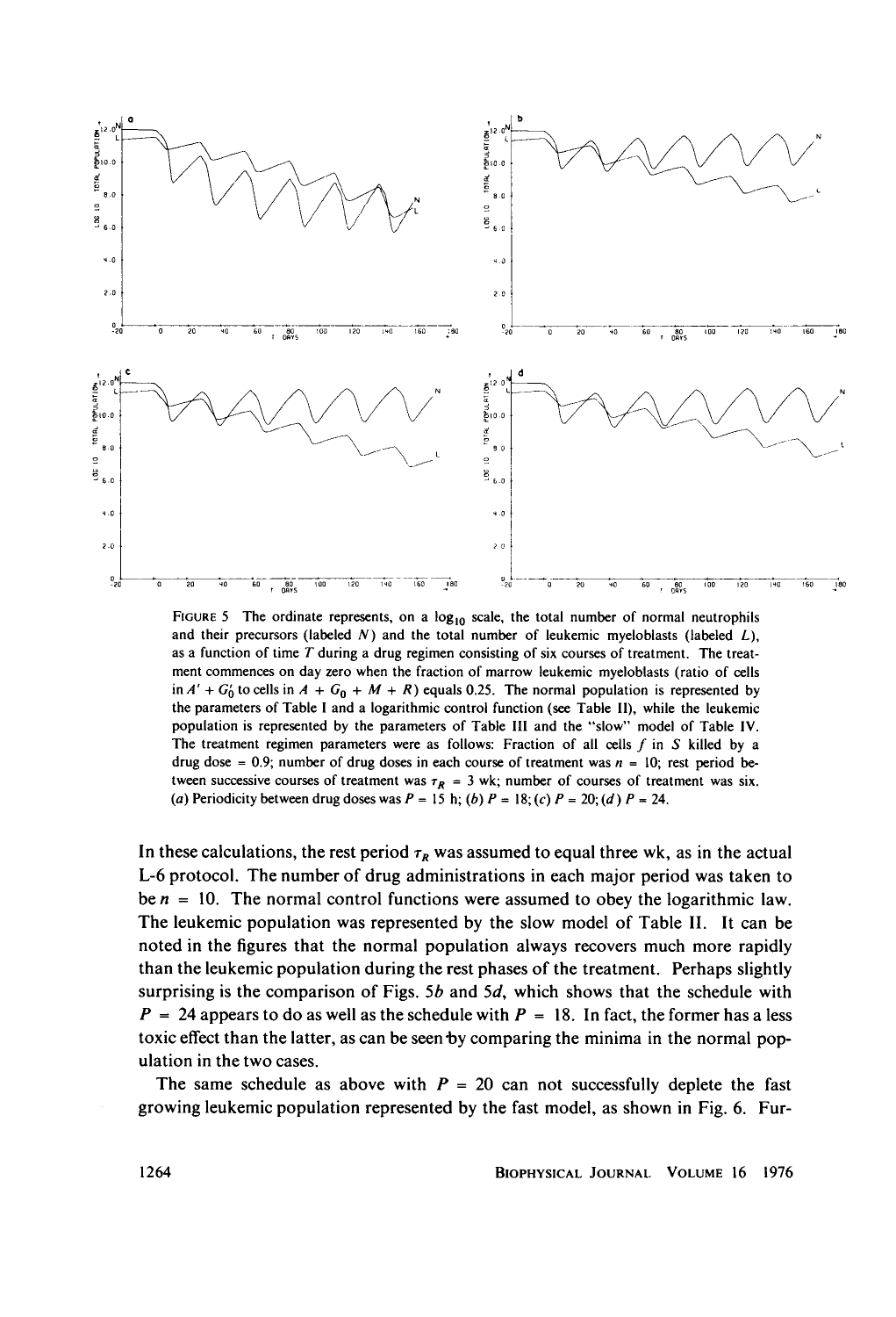

FIGURE 5 The ordinate represents, on a  $log_{10}$  scale, the total number of normal neutrophils and their precursors (labeled  $N$ ) and the total number of leukemic myeloblasts (labeled  $L$ ), as a function of time  $T$  during a drug regimen consisting of six courses of treatment. The treatment commences on day zero when the fraction of marrow leukemic myeloblasts (ratio of cells in  $A' + G'_0$  to cells in  $A + G_0 + M + R$ ) equals 0.25. The normal population is represented by the parameters of Table <sup>I</sup> and a logarithmic control function (see Table 11), while the leukemic population is represented by the parameters of Table III and the "slow" model of Table IV. The treatment regimen parameters were as follows: Fraction of all cells  $f$  in  $S$  killed by a drug dose = 0.9; number of drug doses in each course of treatment was  $n = 10$ ; rest period between successive courses of treatment was  $\tau_R = 3$  wk; number of courses of treatment was six. (a) Periodicity between drug doses was  $P = 15$  h; (b)  $P = 18$ ; (c)  $P = 20$ ; (d)  $P = 24$ .

In these calculations, the rest period  $\tau_R$  was assumed to equal three wk, as in the actual L-6 protocol. The number of drug administrations in each major period was taken to be  $n = 10$ . The normal control functions were assumed to obey the logarithmic law. The leukemic population was represented by the slow model of Table II. It can be noted in the figures that the normal population always recovers much more rapidly than the leukemic population during the rest phases of the treatment. Perhaps slightly surprising is the comparison of Figs. 5b and  $5d$ , which shows that the schedule with  $P = 24$  appears to do as well as the schedule with  $P = 18$ . In fact, the former has a less toxic effect than the latter, as can be seen by comparing the minima in the normal population in the two cases.

The same schedule as above with  $P = 20$  can not successfully deplete the fast growing leukemic population represented by the fast model, as shown in Fig. 6. Fur-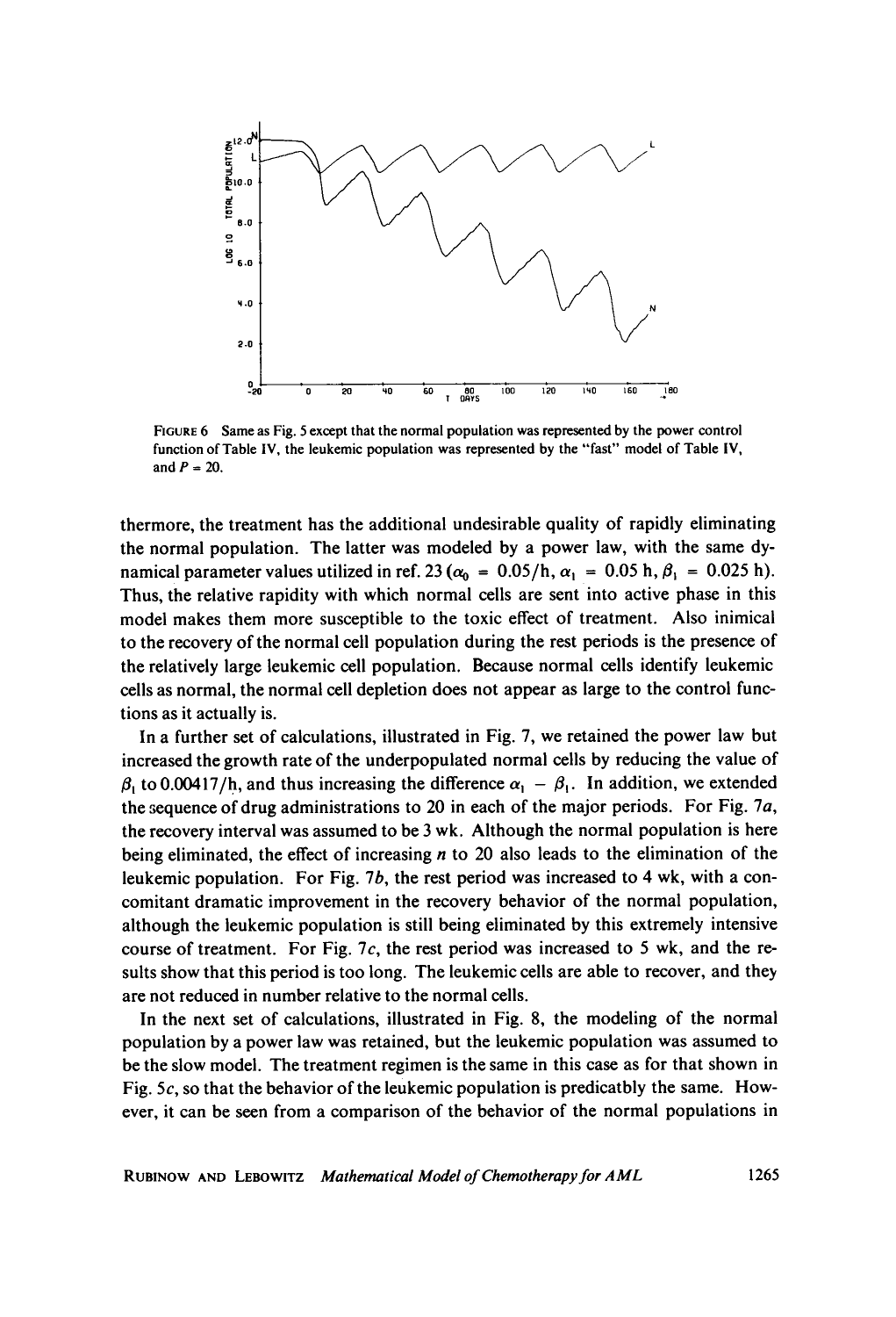

FIGURE 6 Same as Fig. <sup>5</sup> except that the normal population was represented by the power control function of Table IV, the leukemic population was represented by the "fast" model of Table IV, and  $P = 20$ .

thermore, the treatment has the additional undesirable quality of rapidly eliminating the normal population. The latter was modeled by a power law, with the same dynamical parameter values utilized in ref. 23 ( $\alpha_0 = 0.05/h$ ,  $\alpha_1 = 0.05 h$ ,  $\beta_1 = 0.025 h$ ). Thus, the relative rapidity with which normal cells are sent into active phase in this model makes them more susceptible to the toxic effect of treatment. Also inimical to the recovery of the normal cell population during the rest periods is the presence of the relatively large leukemic cell population. Because normal cells identify leukemic cells as normal, the normal cell depletion does not appear as large to the control functions as it actually is.

In a further set of calculations, illustrated in Fig. 7, we retained the power law but increased the growth rate of the underpopulated normal cells by reducing the value of  $\beta_1$  to 0.00417/h, and thus increasing the difference  $\alpha_1 - \beta_1$ . In addition, we extended the sequence of drug administrations to 20 in each of the major periods. For Fig. 7a, the recovery interval was assumed to be 3 wk. Although the normal population is here being eliminated, the effect of increasing  $n$  to 20 also leads to the elimination of the leukemic population. For Fig. 7b, the rest period was increased to 4 wk, with a concomitant dramatic improvement in the recovery behavior of the normal population, although the leukemic population is still being eliminated by this extremely intensive course of treatment. For Fig.  $7c$ , the rest period was increased to 5 wk, and the results show that this period is too long. The leukemic cells are able to recover, and they are not reduced in number relative to the normal cells.

In the next set of calculations, illustrated in Fig. 8, the modeling of the normal population by a power law was retained, but the leukemic population was assumed to be the slow model. The treatment regimen is the same in this case as for that shown in Fig. 5c, so that the behavior of the leukemic population is predicatbly the same. However, it can be seen from a comparison of the behavior of the normal populations in

RUBINOW AND LEBOWITZ Mathematical Model of Chemotherapy for AML 1265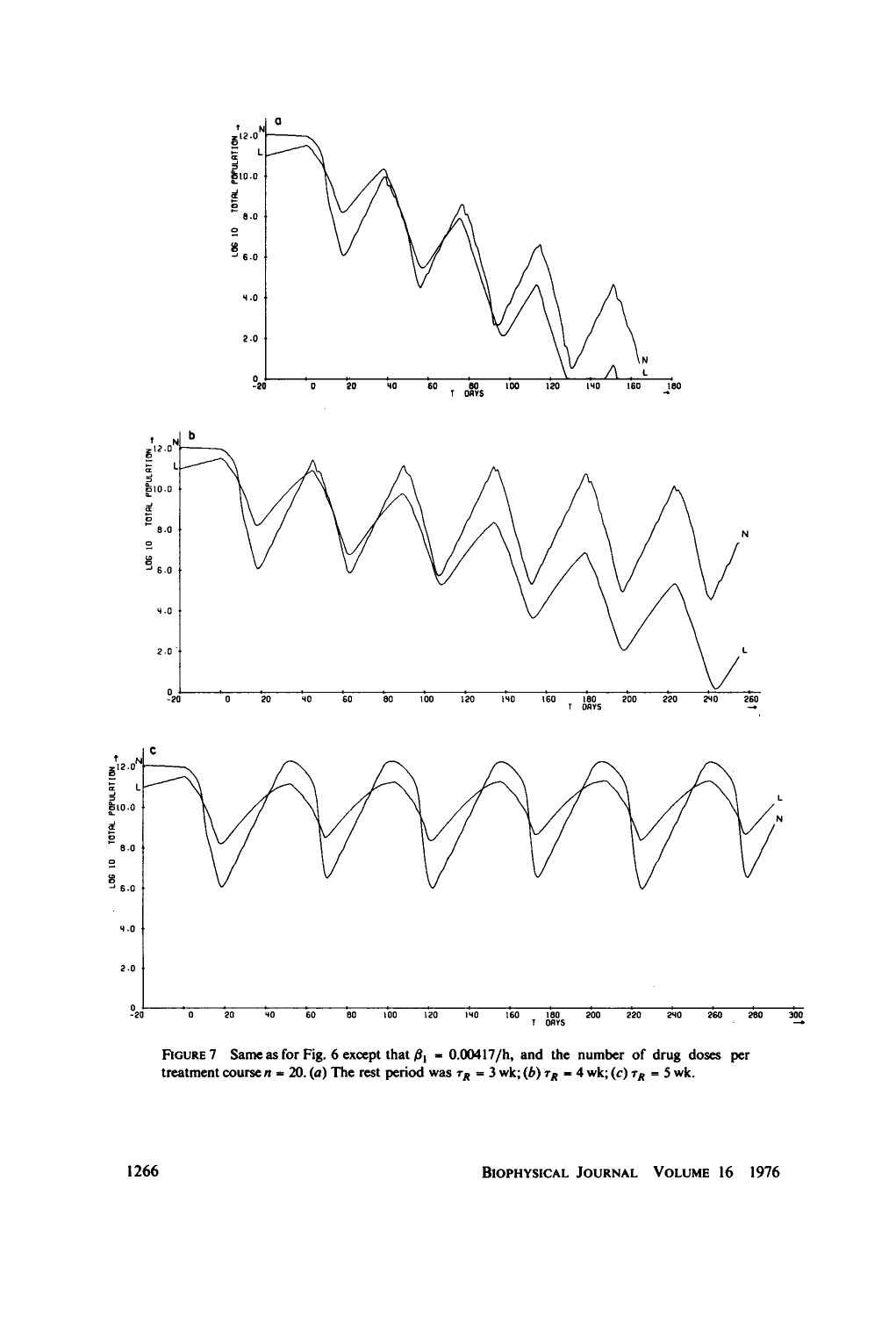

FIGURE 7 Same as for Fig. 6 except that  $\beta_1 = 0.00417/h$ , and the number of drug doses per treatment course  $n = 20$ . (a) The rest period was  $\tau_R = 3$  wk; (b)  $\tau_R = 4$  wk; (c)  $\tau_R = 5$  wk.

1266 BIOPHYSICAL JOURNAL VOLUME 16 1976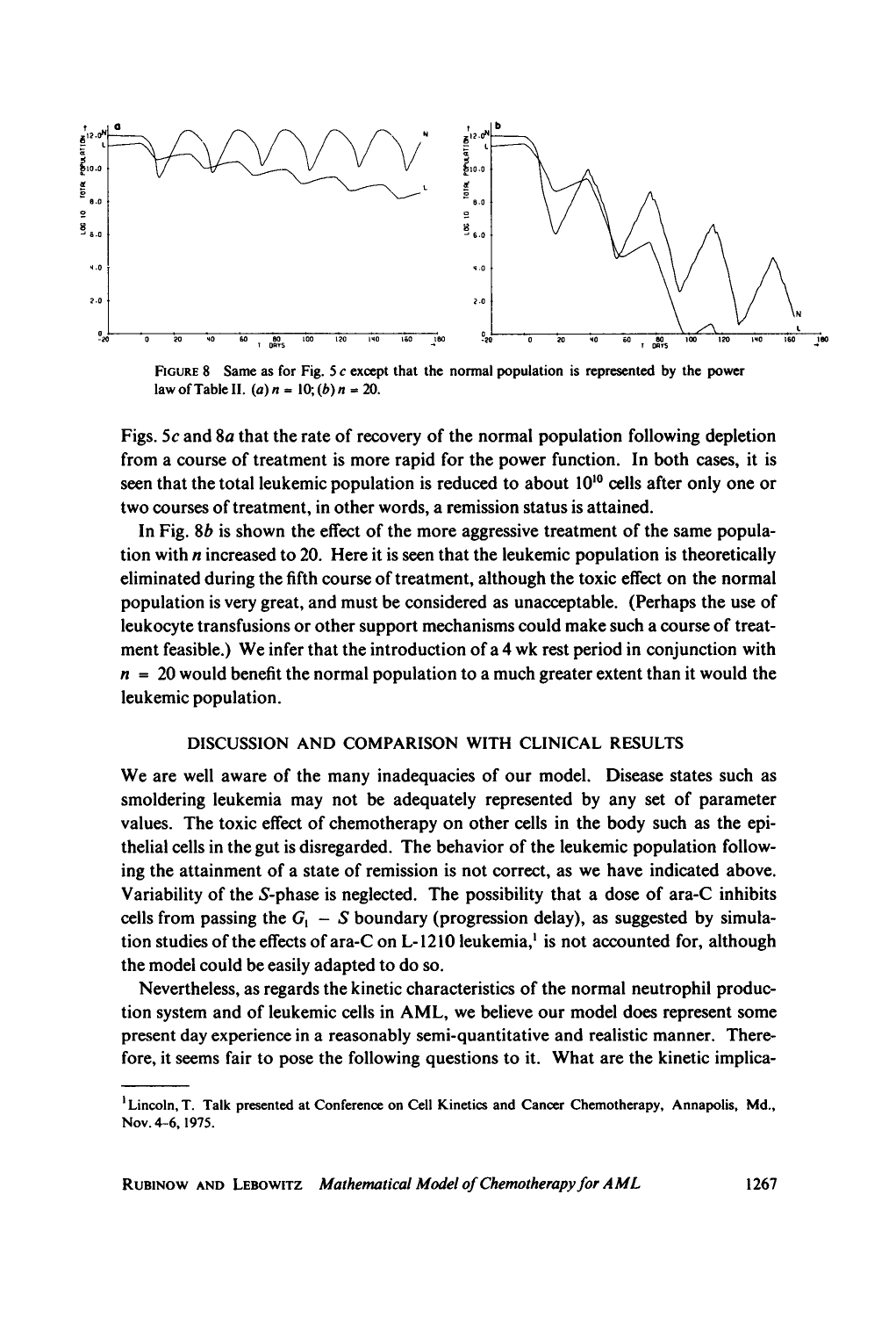

FIGURE 8 Same as for Fig. 5 c except that the normal population is represented by the power law of Table II. (a)  $n = 10$ ; (b)  $n = 20$ .

Figs. 5c and 8a that the rate of recovery of the normal population following depletion from a course of treatment is more rapid for the power function. In both cases, it is seen that the total leukemic population is reduced to about  $10^{10}$  cells after only one or two courses of treatment, in other words, a remission status is attained.

In Fig.  $8b$  is shown the effect of the more aggressive treatment of the same population with  $n$  increased to 20. Here it is seen that the leukemic population is theoretically eliminated during the fifth course of treatment, although the toxic effect on the normal population is very great, and must be considered as unacceptable. (Perhaps the use of leukocyte transfusions or other support mechanisms could make such a course of treatment feasible.) We infer that the introduction of <sup>a</sup> <sup>4</sup> wk rest period in conjunction with  $n = 20$  would benefit the normal population to a much greater extent than it would the leukemic population.

### DISCUSSION AND COMPARISON WITH CLINICAL RESULTS

We are well aware of the many inadequacies of our model. Disease states such as smoldering leukemia may not be adequately represented by any set of parameter values. The toxic effect of chemotherapy on other cells in the body such as the epithelial cells in the gut is disregarded. The behavior of the leukemic population following the attainment of a state of remission is not correct, as we have indicated above. Variability of the S-phase is neglected. The possibility that a dose of ara-C inhibits cells from passing the  $G_1 - S$  boundary (progression delay), as suggested by simulation studies of the effects of ara-C on L- 1210 leukemia,' is not accounted for, although the model could be easily adapted to do so.

Nevertheless, as regards the kinetic characteristics of the normal neutrophil production system and of leukemic cells in AML, we believe our model does represent some present day experience in a reasonably semi-quantitative and realistic manner. Therefore, it seems fair to pose the following questions to it. What are the kinetic implica-

<sup>&</sup>lt;sup>1</sup> Lincoln, T. Talk presented at Conference on Cell Kinetics and Cancer Chemotherapy, Annapolis, Md., Nov. 4-6, 1975.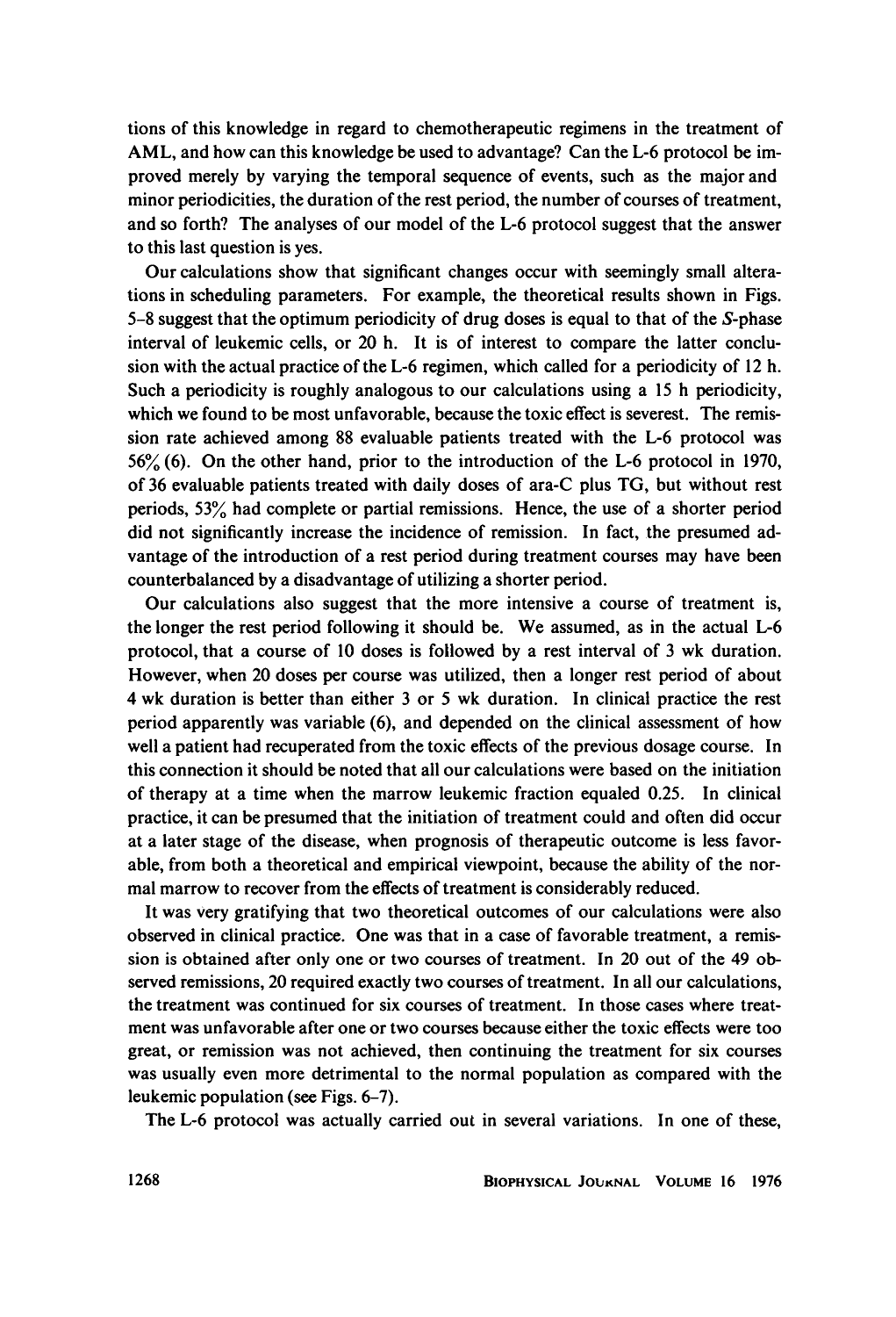tions of this knowledge in regard to chemotherapeutic regimens in the treatment of AML, and how can this knowledge be used to advantage? Can the L-6 protocol be improved merely by varying the temporal sequence of events, such as the major and minor periodicities, the duration of the rest period, the number of courses of treatment, and so forth? The analyses of our model of the L-6 protocol suggest that the answer to this last question is yes.

Our calculations show that significant changes occur with seemingly small alterations in scheduling parameters. For example, the theoretical results shown in Figs. 5-8 suggest that the optimum periodicity of drug doses is equal to that of the S-phase interval of leukemic cells, or 20 h. It is of interest to compare the latter conclusion with the actual practice of the L-6 regimen, which called for a periodicity of 12 h. Such a periodicity is roughly analogous to our calculations using a 15 h periodicity, which we found to be most unfavorable, because the toxic effect is severest. The remission rate achieved among 88 evaluable patients treated with the L-6 protocol was 56% (6). On the other hand, prior to the introduction of the L-6 protocol in 1970, of 36 evaluable patients treated with daily doses of ara-C plus TG, but without rest periods, 53% had complete or partial remissions. Hence, the use of a shorter period did not significantly increase the incidence of remission. In fact, the presumed advantage of the introduction of a rest period during treatment courses may have been counterbalanced by a disadvantage of utilizing a shorter period.

Our calculations also suggest that the more intensive a course of treatment is, the longer the rest period following it should be. We assumed, as in the actual L-6 protocol, that a course of 10 doses is followed by a rest interval of <sup>3</sup> wk duration. However, when 20 doses per course was utilized, then a longer rest period of about 4 wk duration is better than either <sup>3</sup> or <sup>5</sup> wk duration. In clinical practice the rest period apparently was variable (6), and depended on the clinical assessment of how well a patient had recuperated from the toxic effects of the previous dosage course. In this connection it should be noted that all our calculations were based on the initiation of therapy at a time when the marrow leukemic fraction equaled 0.25. In clinical practice, it can be presumed that the initiation of treatment could and often did occur at a later stage of the disease, when prognosis of therapeutic outcome is less favorable, from both a theoretical and empirical viewpoint, because the ability of the normal marrow to recover from the effects of treatment is considerably reduced.

It was very gratifying that two theoretical outcomes of our calculations were also observed in clinical practice. One was that in a case of favorable treatment, a remission is obtained after only one or two courses of treatment. In 20 out of the 49 observed remissions, 20 required exactly two courses of treatment. In all our calculations, the treatment was continued for six courses of treatment. In those cases where treatment was unfavorable after one or two courses because either the toxic effects were too great, or remission was not achieved, then continuing the treatment for six courses was usually even more detrimental to the normal population as compared with the leukemic population (see Figs. 6-7).

The L-6 protocol was actually carried out in several variations. In one of these,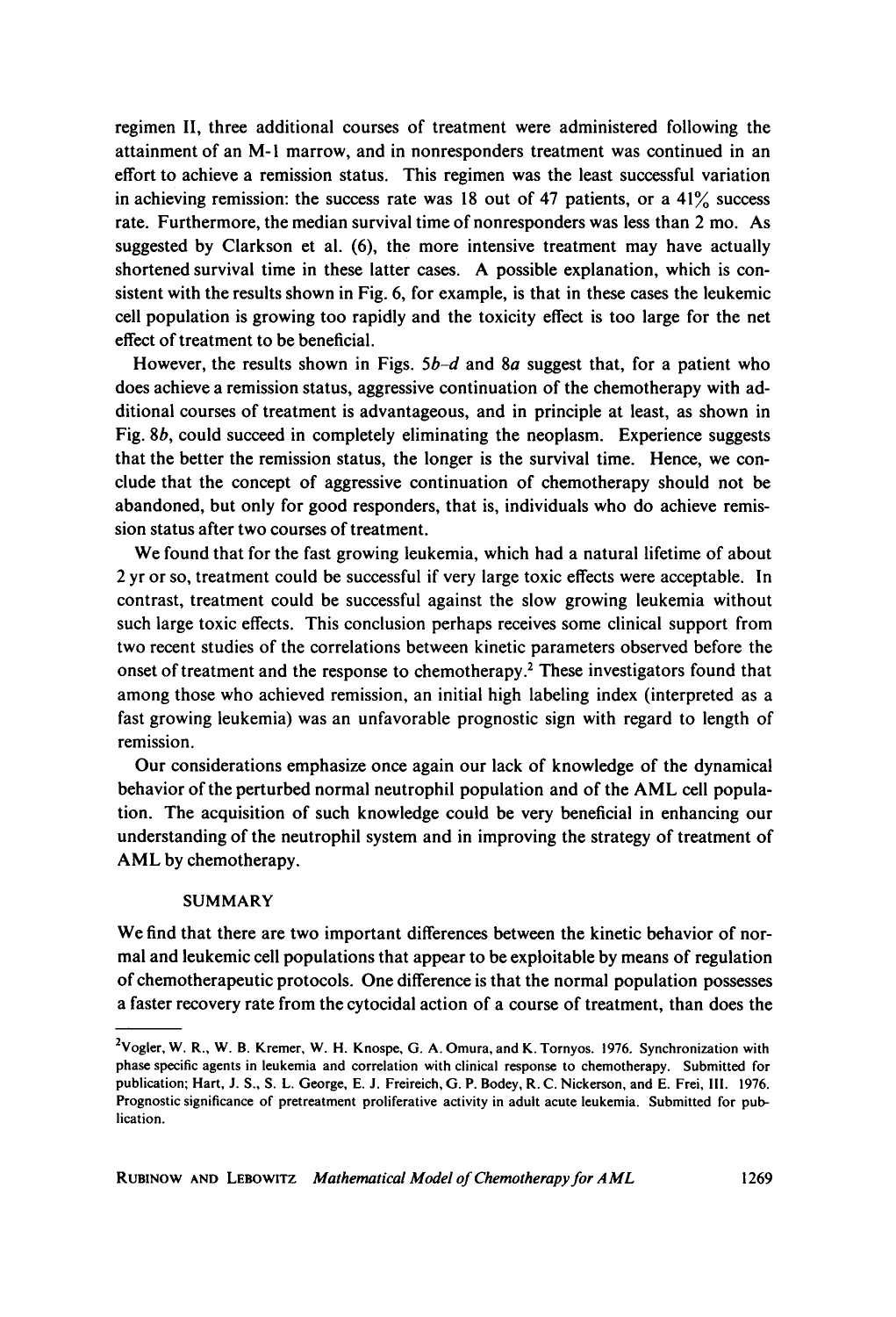regimen II, three additional courses of treatment were administered following the attainment of an M-1 marrow, and in nonresponders treatment was continued in an effort to achieve a remission status. This regimen was the least successful variation in achieving remission: the success rate was 18 out of 47 patients, or a  $41\%$  success rate. Furthermore, the median survival time of nonresponders was less than 2 mo. As suggested by Clarkson et al. (6), the more intensive treatment may have actually shortened survival time in these latter cases. A possible explanation, which is consistent with the results shown in Fig. 6, for example, is that in these cases the leukemic cell population is growing too rapidly and the toxicity effect is too large for the net effect of treatment to be beneficial.

However, the results shown in Figs.  $5b-d$  and  $8a$  suggest that, for a patient who does achieve a remission status, aggressive continuation of the chemotherapy with additional courses of treatment is advantageous, and in principle at least, as shown in Fig. 8b, could succeed in completely eliminating the neoplasm. Experience suggests that the better the remission status, the longer is the survival time. Hence, we conclude that the concept of aggressive continuation of chemotherapy should not be abandoned, but only for good responders, that is, individuals who do achieve remission status after two courses of treatment.

We found that for the fast growing leukemia, which had <sup>a</sup> natural lifetime of about 2 yr or so, treatment could be successful if very large toxic effects were acceptable. In contrast, treatment could be successful against the slow growing leukemia without such large toxic effects. This conclusion perhaps receives some clinical support from two recent studies of the correlations between kinetic parameters observed before the onset of treatment and the response to chemotherapy.2 These investigators found that among those who achieved remission, an initial high labeling index (interpreted as a fast growing leukemia) was an unfavorable prognostic sign with regard to length of remission.

Our considerations emphasize once again our lack of knowledge of the dynamical behavior of the perturbed normal neutrophil population and of the AML cell population. The acquisition of such knowledge could be very beneficial in enhancing our understanding of the neutrophil system and in improving the strategy of treatment of AML by chemotherapy.

## SUMMARY

We find that there are two important differences between the kinetic behavior of normal and leukemic cell populations that appear to be exploitable by means of regulation of chemotherapeutic protocols. One difference is that the normal population possesses a faster recovery rate from the cytocidal action of a course of treatment, than does the

<sup>2</sup>Vogler, W. R., W. B. Kremer, W. H. Knospe, G. A. Omura, and K. Tornyos. 1976. Synchronization with phase specific agents in leukemia and correlation with clinical response to chemotherapy. Submitted for publication; Hart, J. S., S. L. George, E. J. Freireich, G. P. Bodey, R. C. Nickerson, and E. Frei, 111. 1976. Prognostic significance of pretreatment proliferative activity in adult acute leukemia. Submitted for publication.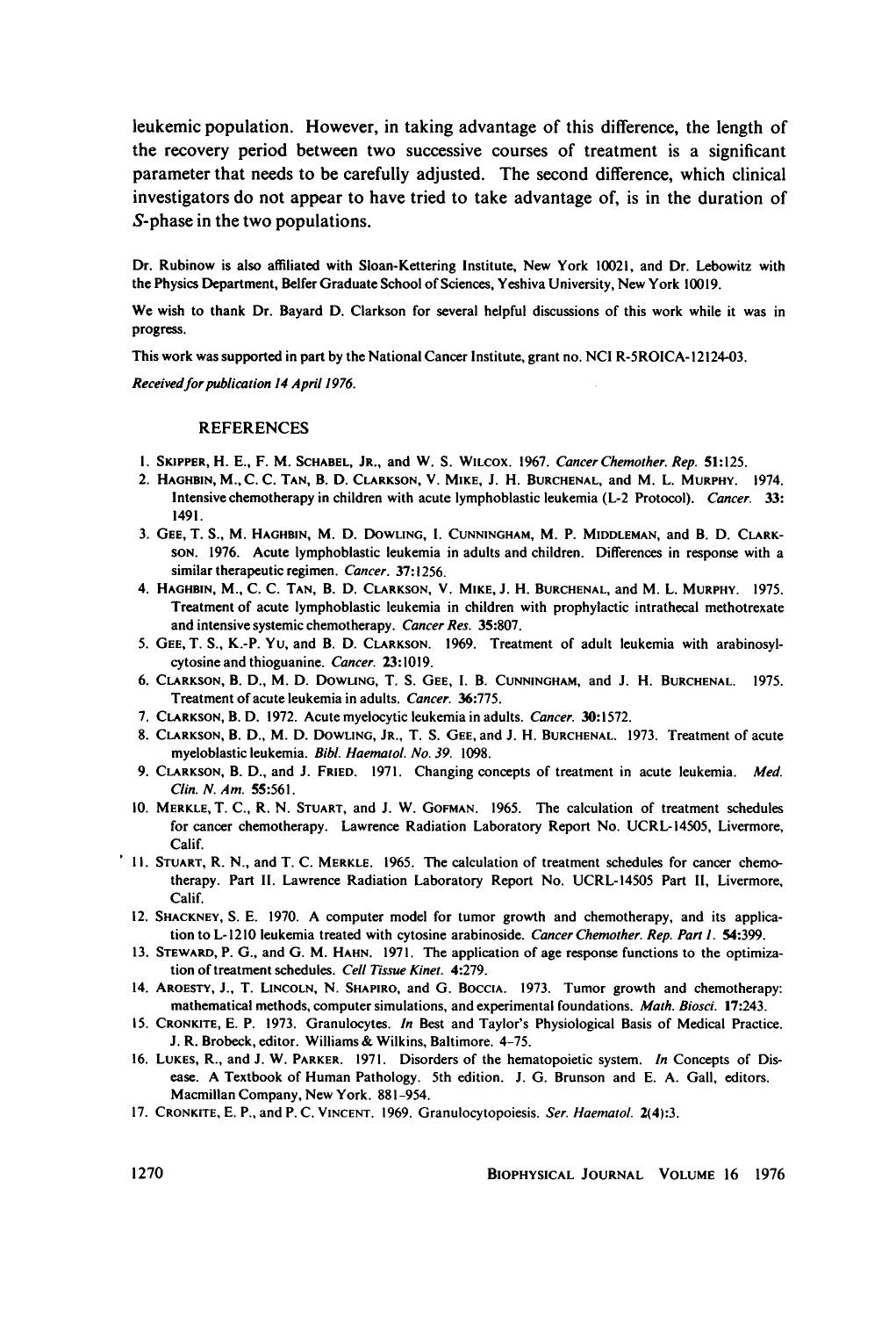leukemic population. However, in taking advantage of this difference, the length of the recovery period between two successive courses of treatment is a significant parameter that needs to be carefully adjusted. The second difference, which clinical investigators do not appear to have tried to take advantage of, is in the duration of S-phase in the two populations.

Dr. Rubinow is also affiliated with Sloan-Kettering Institute, New York 10021, and Dr. Lebowitz with the Physics Department, Belfer Graduate School of Sciences, Yeshiva University, New York 10019.

We wish to thank Dr. Bayard D. Clarkson for several helpful discussions of this work while it was in progress.

This work was supported in part by the National Cancer Institute, grant no. NCI R-5ROICA-12124-03.

Received for publication 14 April 1976.

## REFERENCES

- 1. SKIPPER, H. E., F. M. SCHABEL, JR., and W. S. WILCOX. 1967. Cancer Chemother. Rep. 51:125.
- 2. HAGHBIN, M., C. C. TAN, B. D. CLARKSON, V. MIKE, J. H. BURCHENAL, and M. L. MURPHY. 1974. Intensive chemotherapy in children with acute lymphoblastic leukemia (L-2 Protocol). Cancer. 33: 1491.
- 3. GEE, T. S., M. HAGHBIN, M. D. DOWLING, I. CUNNINGHAM, M. P. MIDDLEMAN, and B. D. CLARK-SON. 1976. Acute lymphoblastic leukemia in adults and children. Differences in response with a similar therapeutic regimen. Cancer. 37:1256.
- 4. HAGHBIN, M., C. C. TAN, B. D. CLARKSON, V. MIKE, J. H. BURCHENAL, and M. L. MURPHY. 1975. Treatment of acute lymphoblastic leukemia in children with prophylactic intrathecal methotrexate and intensive systemic chemotherapy. Cancer Res. 35:807.
- 5. GEE, T. S., K.-P. Yu, and B. D. CLARKSON. 1969. Treatment of adult leukemia with arabinosylcytosine and thioguanine. Cancer. 23:1019.
- 6. CLARKSON, B. D., M. D. DOWLING, T. S. GEE, I. B. CUNNINGHAM, and J. H. BURCHENAL. 1975. Treatment of acute leukemia in adults. Cancer. 36:775.
- 7. CLARKSON, B. D. 1972. Acute myelocytic leukemia in adults. Cancer. 30:1572.
- 8. CLARKSON, B. D., M. D. DOWLING, JR., T. S. GEE, and J. H. BURCHENAL. 1973. Treatment of acute myeloblastic leukemia. Bibi. Haematol. No. 39. 1098.
- 9. CLARKSON, B. D., and J. FRIED. 1971. Changing concepts of treatment in acute leukemia. Med. Clin. N. Am. 55:561.
- 10. MERKLE, T. C., R. N. STUART, and J. W. GOFMAN. 1965. The calculation of treatment schedules for cancer chemotherapy. Lawrence Radiation Laboratory Report No. UCRL-14505, Livermore, Calif.
- <sup>'</sup> 11. STUART, R. N., and T. C. MERKLE. 1965. The calculation of treatment schedules for cancer chemotherapy. Part II. Lawrence Radiation Laboratory Report No. UCRL-14505 Part II, Livermore, Calif.
	- 12. SHACKNEY, S. E. 1970. A computer model for tumor growth and chemotherapy, and its application to L-1210 leukemia treated with cytosine arabinoside. Cancer Chemother. Rep. Part 1. 54:399.
	- 13. STEWARD, P. G., and G. M. HAHN. 1971. The application of age response functions to the optimization of treatment schedules. Cell Tissue Kinet. 4:279.
	- 14. AROESTY, J., T. LINCOLN, N. SHAPIRO, and G. BOCCIA. 1973. Tumor growth and chemotherapy: mathematical methods, computer simulations, and experimental foundations. Math. Biosci. 17:243.
	- 15. CRONKITE, E. P. 1973. Granulocytes. In Best and Taylor's Physiological Basis of Medical Practice. J. R. Brobeck, editor. Williams & Wilkins, Baltimore. 4-75.
	- 16. LUKES, R., and J. W. PARKER. 1971. Disorders of the hematopoietic system. In Concepts of Disease. A Textbook of Human Pathology. 5th edition. J. G. Brunson and E. A. Gall, editors. Macmillan Company, New York. 881-954.
	- 17. CRONKITE, E. P., and P. C. VINCENT. 1969. Granulocytopoiesis. Ser. Haematol. 2(4):3.